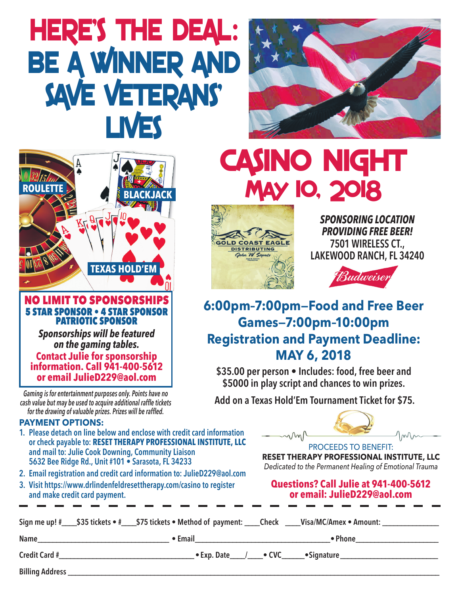# **HERE'S THE DEAL: BE A WINNER AND SAVE VETERANS' LIVES**





*Gaming is for entertainment purposes only. Points have no cash value but may be used to acquire additional raffe tickets for the drawing of valuable prizes. Prizes will be raffed.*

#### **PAYMENT OPTIONS:**

- **1. Please detach on line below and enclose with credit card information or check payable to: RESET THERAPY PROFESSIONAL INSTITUTE, LLC and mail to: Julie Cook Downing, Community Liaison 5632 Bee Ridge Rd., Unit #101 • Sarasota, FL 34233**
- **2. Email registration and credit card information to: JulieD229@aol.com**
- **3. Visit https://www.drlindenfeldresettherapy.com/casino to register and make credit card payment.**





*SPONSORING LOCATION PROVIDING FREE BEER!* **7501 WIRELESS CT., LAKEWOOD RANCH, FL 34240**



## **6:00pm–7:00pm—Food and Free Beer Games—7:00pm–10:00pm Registration and Payment Deadline: MAY 6, 2018**

**\$35.00 per person • Includes: food, free beer and \$5000 in play script and chances to win prizes.**

 **Add on a Texas Hold'Em Tournament Ticket for \$75.**



**RESET THERAPY PROFESSIONAL INSTITUTE, LLC** *Dedicated to the Permanent Healing of Emotional Trauma*

### **Questions? Call Julie at 941-400-5612 or email: JulieD229@aol.com**

|                      | Sign me up! # \$35 tickets • # \$75 tickets • Method of payment: Check Wisa/MC/Amex • Amount: |                             |
|----------------------|-----------------------------------------------------------------------------------------------|-----------------------------|
| Name                 | $\bullet$ Email                                                                               | • Phone                     |
| <b>Credit Card #</b> | $\bullet$ Exp. Date                                                                           | •Signature<br>$\bullet$ CVC |

**Billing Address \_\_\_\_\_\_\_\_\_\_\_\_\_\_\_\_\_\_\_\_\_\_\_\_\_\_\_\_\_\_\_\_\_\_\_\_\_\_\_\_\_\_\_\_\_\_\_\_\_\_\_\_\_\_\_\_\_\_\_\_\_\_\_\_\_\_\_\_\_\_\_\_\_\_\_\_\_\_\_\_\_\_\_\_\_\_\_\_\_\_\_\_\_\_\_\_\_\_\_**